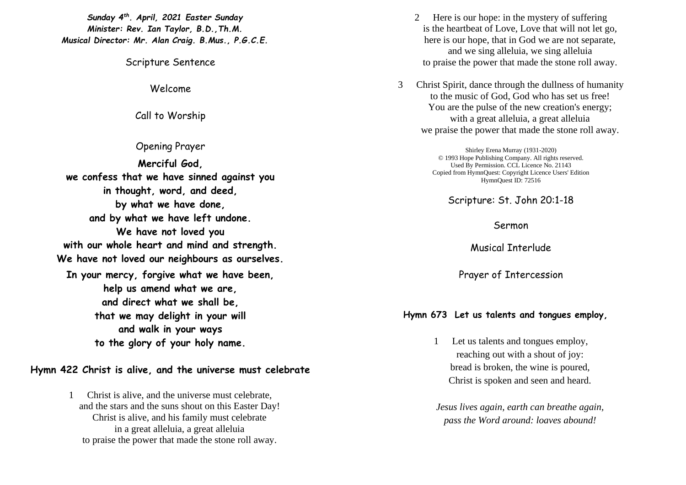*Sunday 4 th . April, 2021 Easter Sunday Minister: Rev. Ian Taylor, B.D.,Th.M. Musical Director: Mr. Alan Craig. B.Mus., P.G.C.E.*

Scripture Sentence

Welcome

Call to Worship

Opening Prayer **Merciful God, we confess that we have sinned against you in thought, word, and deed, by what we have done, and by what we have left undone. We have not loved you with our whole heart and mind and strength. We have not loved our neighbours as ourselves. In your mercy, forgive what we have been, help us amend what we are, and direct what we shall be, that we may delight in your will and walk in your ways to the glory of your holy name.**

**Hymn 422 Christ is alive, and the universe must celebrate**

1 Christ is alive, and the universe must celebrate, and the stars and the suns shout on this Easter Day! Christ is alive, and his family must celebrate in a great alleluia, a great alleluia to praise the power that made the stone roll away.

- 2 Here is our hope: in the mystery of suffering is the heartbeat of Love, Love that will not let go, here is our hope, that in God we are not separate, and we sing alleluia, we sing alleluia to praise the power that made the stone roll away.
- 3 Christ Spirit, dance through the dullness of humanity to the music of God, God who has set us free! You are the pulse of the new creation's energy; with a great alleluia, a great alleluia we praise the power that made the stone roll away.

Shirley Erena Murray (1931-2020) © 1993 Hope Publishing Company. All rights reserved. Used By Permission. CCL Licence No. 21143 Copied from HymnQuest: Copyright Licence Users' Edition HymnQuest ID: 72516

Scripture: St. John 20:1-18

Sermon

Musical Interlude

Prayer of Intercession

## **Hymn 673 Let us talents and tongues employ,**

1 Let us talents and tongues employ, reaching out with a shout of joy: bread is broken, the wine is poured, Christ is spoken and seen and heard.

*Jesus lives again, earth can breathe again, pass the Word around: loaves abound!*